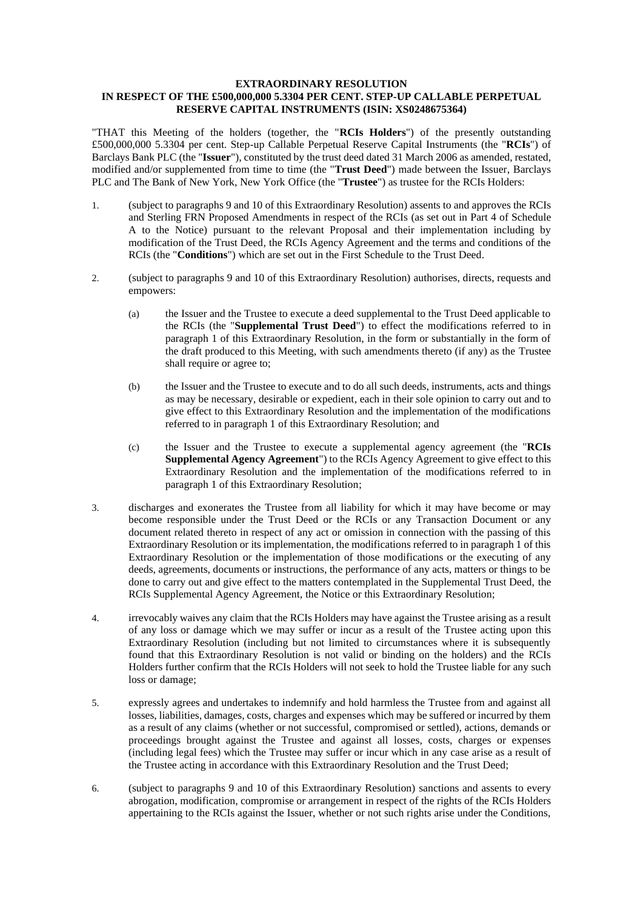### **EXTRAORDINARY RESOLUTION IN RESPECT OF THE £500,000,000 5.3304 PER CENT. STEP-UP CALLABLE PERPETUAL RESERVE CAPITAL INSTRUMENTS (ISIN: XS0248675364)**

"THAT this Meeting of the holders (together, the "**RCIs Holders**") of the presently outstanding £500,000,000 5.3304 per cent. Step-up Callable Perpetual Reserve Capital Instruments (the "**RCIs**") of Barclays Bank PLC (the "**Issuer**"), constituted by the trust deed dated 31 March 2006 as amended, restated, modified and/or supplemented from time to time (the "**Trust Deed**") made between the Issuer, Barclays PLC and The Bank of New York, New York Office (the "**Trustee**") as trustee for the RCIs Holders:

- 1. (subject to paragraphs 9 and 10 of this Extraordinary Resolution) assents to and approves the RCIs and Sterling FRN Proposed Amendments in respect of the RCIs (as set out in Part 4 of Schedule A to the Notice) pursuant to the relevant Proposal and their implementation including by modification of the Trust Deed, the RCIs Agency Agreement and the terms and conditions of the RCIs (the "**Conditions**") which are set out in the First Schedule to the Trust Deed.
- 2. (subject to paragraphs 9 and 10 of this Extraordinary Resolution) authorises, directs, requests and empowers:
	- (a) the Issuer and the Trustee to execute a deed supplemental to the Trust Deed applicable to the RCIs (the "**Supplemental Trust Deed**") to effect the modifications referred to in paragraph 1 of this Extraordinary Resolution, in the form or substantially in the form of the draft produced to this Meeting, with such amendments thereto (if any) as the Trustee shall require or agree to:
	- (b) the Issuer and the Trustee to execute and to do all such deeds, instruments, acts and things as may be necessary, desirable or expedient, each in their sole opinion to carry out and to give effect to this Extraordinary Resolution and the implementation of the modifications referred to in paragraph 1 of this Extraordinary Resolution; and
	- (c) the Issuer and the Trustee to execute a supplemental agency agreement (the "**RCIs Supplemental Agency Agreement**") to the RCIs Agency Agreement to give effect to this Extraordinary Resolution and the implementation of the modifications referred to in paragraph 1 of this Extraordinary Resolution;
- 3. discharges and exonerates the Trustee from all liability for which it may have become or may become responsible under the Trust Deed or the RCIs or any Transaction Document or any document related thereto in respect of any act or omission in connection with the passing of this Extraordinary Resolution or its implementation, the modifications referred to in paragraph 1 of this Extraordinary Resolution or the implementation of those modifications or the executing of any deeds, agreements, documents or instructions, the performance of any acts, matters or things to be done to carry out and give effect to the matters contemplated in the Supplemental Trust Deed, the RCIs Supplemental Agency Agreement, the Notice or this Extraordinary Resolution;
- 4. irrevocably waives any claim that the RCIs Holders may have against the Trustee arising as a result of any loss or damage which we may suffer or incur as a result of the Trustee acting upon this Extraordinary Resolution (including but not limited to circumstances where it is subsequently found that this Extraordinary Resolution is not valid or binding on the holders) and the RCIs Holders further confirm that the RCIs Holders will not seek to hold the Trustee liable for any such loss or damage;
- 5. expressly agrees and undertakes to indemnify and hold harmless the Trustee from and against all losses, liabilities, damages, costs, charges and expenses which may be suffered or incurred by them as a result of any claims (whether or not successful, compromised or settled), actions, demands or proceedings brought against the Trustee and against all losses, costs, charges or expenses (including legal fees) which the Trustee may suffer or incur which in any case arise as a result of the Trustee acting in accordance with this Extraordinary Resolution and the Trust Deed;
- 6. (subject to paragraphs 9 and 10 of this Extraordinary Resolution) sanctions and assents to every abrogation, modification, compromise or arrangement in respect of the rights of the RCIs Holders appertaining to the RCIs against the Issuer, whether or not such rights arise under the Conditions,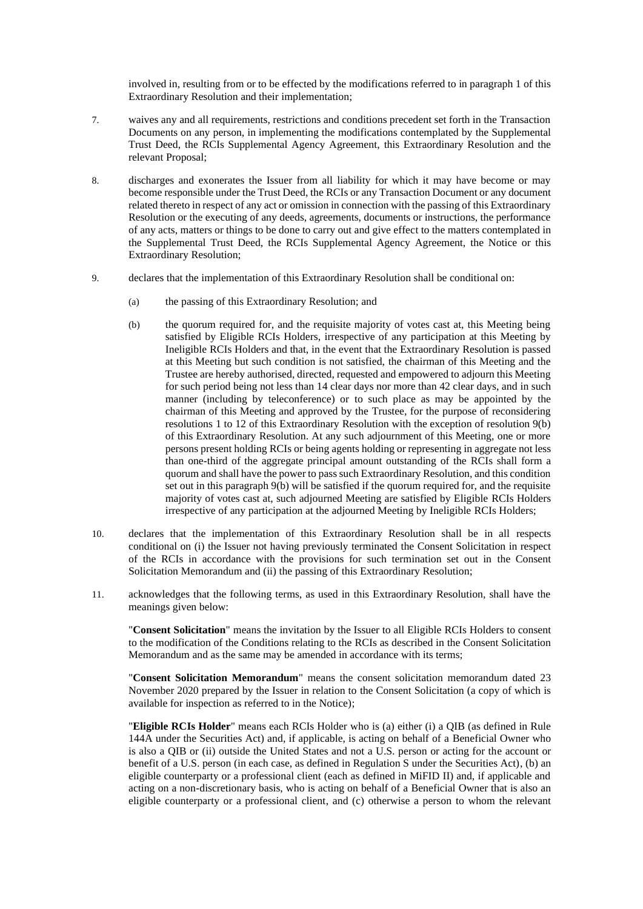involved in, resulting from or to be effected by the modifications referred to in paragraph 1 of this Extraordinary Resolution and their implementation;

- 7. waives any and all requirements, restrictions and conditions precedent set forth in the Transaction Documents on any person, in implementing the modifications contemplated by the Supplemental Trust Deed, the RCIs Supplemental Agency Agreement, this Extraordinary Resolution and the relevant Proposal;
- 8. discharges and exonerates the Issuer from all liability for which it may have become or may become responsible under the Trust Deed, the RCIs or any Transaction Document or any document related thereto in respect of any act or omission in connection with the passing of this Extraordinary Resolution or the executing of any deeds, agreements, documents or instructions, the performance of any acts, matters or things to be done to carry out and give effect to the matters contemplated in the Supplemental Trust Deed, the RCIs Supplemental Agency Agreement, the Notice or this Extraordinary Resolution;
- 9. declares that the implementation of this Extraordinary Resolution shall be conditional on:
	- (a) the passing of this Extraordinary Resolution; and
	- (b) the quorum required for, and the requisite majority of votes cast at, this Meeting being satisfied by Eligible RCIs Holders, irrespective of any participation at this Meeting by Ineligible RCIs Holders and that, in the event that the Extraordinary Resolution is passed at this Meeting but such condition is not satisfied, the chairman of this Meeting and the Trustee are hereby authorised, directed, requested and empowered to adjourn this Meeting for such period being not less than 14 clear days nor more than 42 clear days, and in such manner (including by teleconference) or to such place as may be appointed by the chairman of this Meeting and approved by the Trustee, for the purpose of reconsidering resolutions 1 to 12 of this Extraordinary Resolution with the exception of resolution 9(b) of this Extraordinary Resolution. At any such adjournment of this Meeting, one or more persons present holding RCIs or being agents holding or representing in aggregate not less than one-third of the aggregate principal amount outstanding of the RCIs shall form a quorum and shall have the power to pass such Extraordinary Resolution, and this condition set out in this paragraph  $9(b)$  will be satisfied if the quorum required for, and the requisite majority of votes cast at, such adjourned Meeting are satisfied by Eligible RCIs Holders irrespective of any participation at the adjourned Meeting by Ineligible RCIs Holders;
- 10. declares that the implementation of this Extraordinary Resolution shall be in all respects conditional on (i) the Issuer not having previously terminated the Consent Solicitation in respect of the RCIs in accordance with the provisions for such termination set out in the Consent Solicitation Memorandum and (ii) the passing of this Extraordinary Resolution;
- 11. acknowledges that the following terms, as used in this Extraordinary Resolution, shall have the meanings given below:

"**Consent Solicitation**" means the invitation by the Issuer to all Eligible RCIs Holders to consent to the modification of the Conditions relating to the RCIs as described in the Consent Solicitation Memorandum and as the same may be amended in accordance with its terms;

"**Consent Solicitation Memorandum**" means the consent solicitation memorandum dated 23 November 2020 prepared by the Issuer in relation to the Consent Solicitation (a copy of which is available for inspection as referred to in the Notice);

"**Eligible RCIs Holder**" means each RCIs Holder who is (a) either (i) a QIB (as defined in Rule 144A under the Securities Act) and, if applicable, is acting on behalf of a Beneficial Owner who is also a QIB or (ii) outside the United States and not a U.S. person or acting for the account or benefit of a U.S. person (in each case, as defined in Regulation S under the Securities Act), (b) an eligible counterparty or a professional client (each as defined in MiFID II) and, if applicable and acting on a non-discretionary basis, who is acting on behalf of a Beneficial Owner that is also an eligible counterparty or a professional client, and (c) otherwise a person to whom the relevant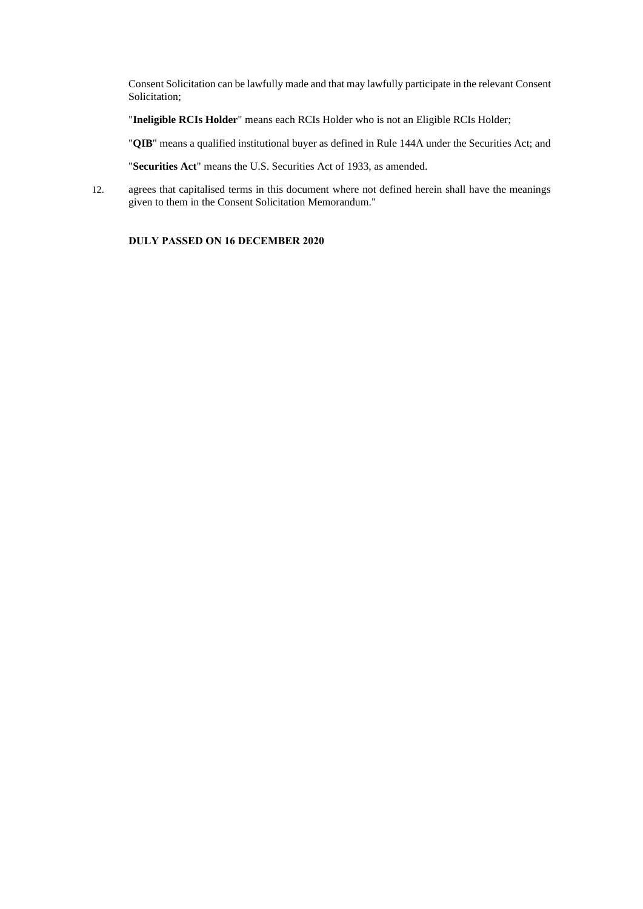Consent Solicitation can be lawfully made and that may lawfully participate in the relevant Consent Solicitation;

"**Ineligible RCIs Holder**" means each RCIs Holder who is not an Eligible RCIs Holder;

"**QIB**" means a qualified institutional buyer as defined in Rule 144A under the Securities Act; and

"**Securities Act**" means the U.S. Securities Act of 1933, as amended.

12. agrees that capitalised terms in this document where not defined herein shall have the meanings given to them in the Consent Solicitation Memorandum."

# **DULY PASSED ON 16 DECEMBER 2020**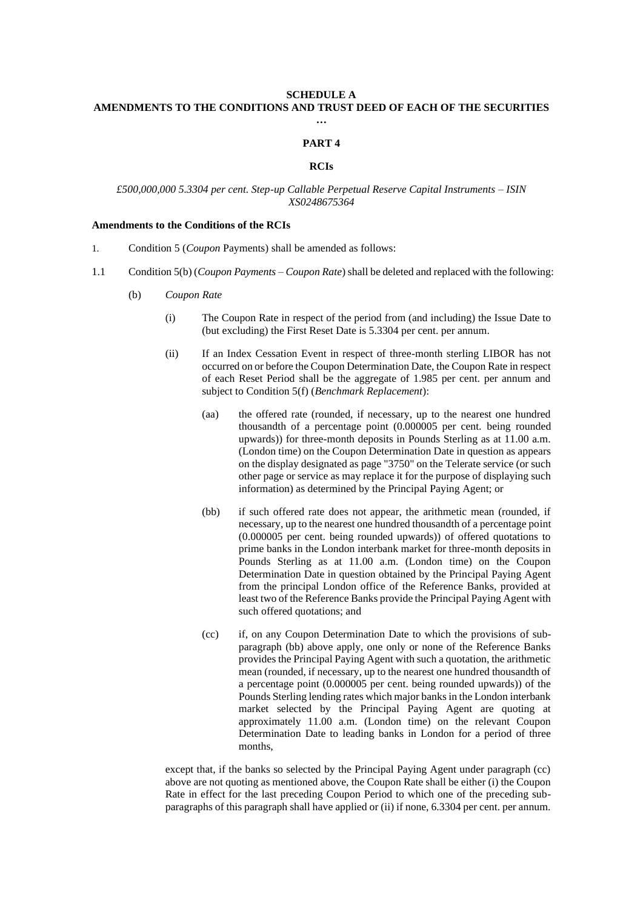# **SCHEDULE A AMENDMENTS TO THE CONDITIONS AND TRUST DEED OF EACH OF THE SECURITIES …**

#### **PART 4**

#### **RCIs**

### *£500,000,000 5.3304 per cent. Step-up Callable Perpetual Reserve Capital Instruments – ISIN XS0248675364*

# **Amendments to the Conditions of the RCIs**

- 1. Condition 5 (*Coupon* Payments) shall be amended as follows:
- 1.1 Condition 5(b) (*Coupon Payments – Coupon Rate*) shall be deleted and replaced with the following:
	- (b) *Coupon Rate*
		- (i) The Coupon Rate in respect of the period from (and including) the Issue Date to (but excluding) the First Reset Date is 5.3304 per cent. per annum.
		- (ii) If an Index Cessation Event in respect of three-month sterling LIBOR has not occurred on or before the Coupon Determination Date, the Coupon Rate in respect of each Reset Period shall be the aggregate of 1.985 per cent. per annum and subject to Condition 5(f) (*Benchmark Replacement*):
			- (aa) the offered rate (rounded, if necessary, up to the nearest one hundred thousandth of a percentage point (0.000005 per cent. being rounded upwards)) for three-month deposits in Pounds Sterling as at 11.00 a.m. (London time) on the Coupon Determination Date in question as appears on the display designated as page "3750" on the Telerate service (or such other page or service as may replace it for the purpose of displaying such information) as determined by the Principal Paying Agent; or
			- (bb) if such offered rate does not appear, the arithmetic mean (rounded, if necessary, up to the nearest one hundred thousandth of a percentage point (0.000005 per cent. being rounded upwards)) of offered quotations to prime banks in the London interbank market for three-month deposits in Pounds Sterling as at 11.00 a.m. (London time) on the Coupon Determination Date in question obtained by the Principal Paying Agent from the principal London office of the Reference Banks, provided at least two of the Reference Banks provide the Principal Paying Agent with such offered quotations; and
			- (cc) if, on any Coupon Determination Date to which the provisions of subparagraph (bb) above apply, one only or none of the Reference Banks provides the Principal Paying Agent with such a quotation, the arithmetic mean (rounded, if necessary, up to the nearest one hundred thousandth of a percentage point (0.000005 per cent. being rounded upwards)) of the Pounds Sterling lending rates which major banks in the London interbank market selected by the Principal Paying Agent are quoting at approximately 11.00 a.m. (London time) on the relevant Coupon Determination Date to leading banks in London for a period of three months,

except that, if the banks so selected by the Principal Paying Agent under paragraph (cc) above are not quoting as mentioned above, the Coupon Rate shall be either (i) the Coupon Rate in effect for the last preceding Coupon Period to which one of the preceding subparagraphs of this paragraph shall have applied or (ii) if none, 6.3304 per cent. per annum.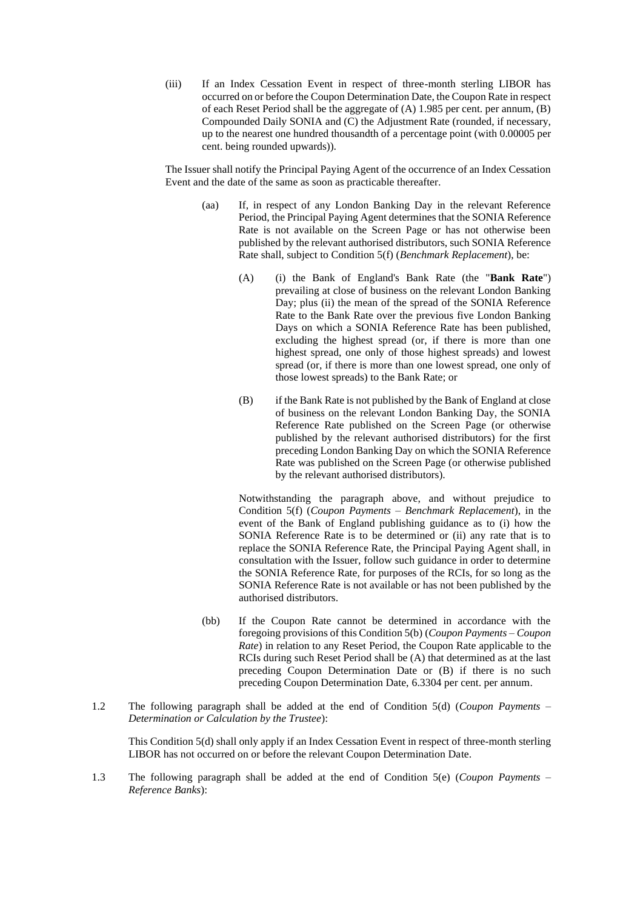(iii) If an Index Cessation Event in respect of three-month sterling LIBOR has occurred on or before the Coupon Determination Date, the Coupon Rate in respect of each Reset Period shall be the aggregate of  $(A)$  1.985 per cent. per annum,  $(B)$ Compounded Daily SONIA and (C) the Adjustment Rate (rounded, if necessary, up to the nearest one hundred thousandth of a percentage point (with 0.00005 per cent. being rounded upwards)).

The Issuer shall notify the Principal Paying Agent of the occurrence of an Index Cessation Event and the date of the same as soon as practicable thereafter.

- (aa) If, in respect of any London Banking Day in the relevant Reference Period, the Principal Paying Agent determines that the SONIA Reference Rate is not available on the Screen Page or has not otherwise been published by the relevant authorised distributors, such SONIA Reference Rate shall, subject to Condition 5(f) (*Benchmark Replacement*), be:
	- (A) (i) the Bank of England's Bank Rate (the "**Bank Rate**") prevailing at close of business on the relevant London Banking Day; plus (ii) the mean of the spread of the SONIA Reference Rate to the Bank Rate over the previous five London Banking Days on which a SONIA Reference Rate has been published, excluding the highest spread (or, if there is more than one highest spread, one only of those highest spreads) and lowest spread (or, if there is more than one lowest spread, one only of those lowest spreads) to the Bank Rate; or
	- (B) if the Bank Rate is not published by the Bank of England at close of business on the relevant London Banking Day, the SONIA Reference Rate published on the Screen Page (or otherwise published by the relevant authorised distributors) for the first preceding London Banking Day on which the SONIA Reference Rate was published on the Screen Page (or otherwise published by the relevant authorised distributors).

Notwithstanding the paragraph above, and without prejudice to Condition 5(f) (*Coupon Payments* – *Benchmark Replacement*), in the event of the Bank of England publishing guidance as to (i) how the SONIA Reference Rate is to be determined or (ii) any rate that is to replace the SONIA Reference Rate, the Principal Paying Agent shall, in consultation with the Issuer, follow such guidance in order to determine the SONIA Reference Rate, for purposes of the RCIs, for so long as the SONIA Reference Rate is not available or has not been published by the authorised distributors.

- (bb) If the Coupon Rate cannot be determined in accordance with the foregoing provisions of this Condition 5(b) (*Coupon Payments – Coupon Rate*) in relation to any Reset Period, the Coupon Rate applicable to the RCIs during such Reset Period shall be (A) that determined as at the last preceding Coupon Determination Date or (B) if there is no such preceding Coupon Determination Date, 6.3304 per cent. per annum.
- 1.2 The following paragraph shall be added at the end of Condition 5(d) (*Coupon Payments – Determination or Calculation by the Trustee*):

This Condition 5(d) shall only apply if an Index Cessation Event in respect of three-month sterling LIBOR has not occurred on or before the relevant Coupon Determination Date.

1.3 The following paragraph shall be added at the end of Condition 5(e) (*Coupon Payments – Reference Banks*):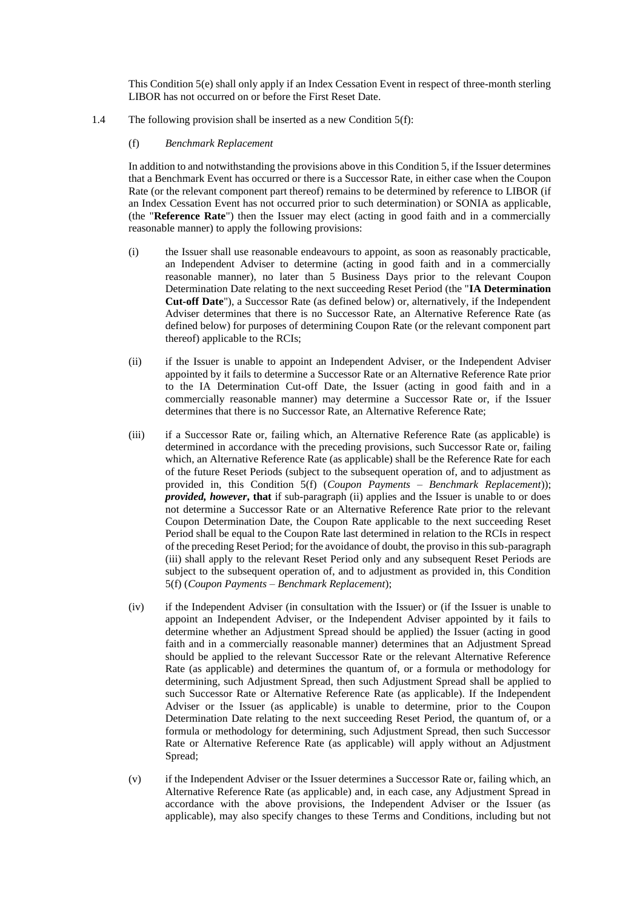This Condition 5(e) shall only apply if an Index Cessation Event in respect of three-month sterling LIBOR has not occurred on or before the First Reset Date.

- 1.4 The following provision shall be inserted as a new Condition 5(f):
	- (f) *Benchmark Replacement*

In addition to and notwithstanding the provisions above in this Condition 5, if the Issuer determines that a Benchmark Event has occurred or there is a Successor Rate, in either case when the Coupon Rate (or the relevant component part thereof) remains to be determined by reference to LIBOR (if an Index Cessation Event has not occurred prior to such determination) or SONIA as applicable, (the "**Reference Rate**") then the Issuer may elect (acting in good faith and in a commercially reasonable manner) to apply the following provisions:

- (i) the Issuer shall use reasonable endeavours to appoint, as soon as reasonably practicable, an Independent Adviser to determine (acting in good faith and in a commercially reasonable manner), no later than 5 Business Days prior to the relevant Coupon Determination Date relating to the next succeeding Reset Period (the "**IA Determination Cut-off Date**"), a Successor Rate (as defined below) or, alternatively, if the Independent Adviser determines that there is no Successor Rate, an Alternative Reference Rate (as defined below) for purposes of determining Coupon Rate (or the relevant component part thereof) applicable to the RCIs;
- (ii) if the Issuer is unable to appoint an Independent Adviser, or the Independent Adviser appointed by it fails to determine a Successor Rate or an Alternative Reference Rate prior to the IA Determination Cut-off Date, the Issuer (acting in good faith and in a commercially reasonable manner) may determine a Successor Rate or, if the Issuer determines that there is no Successor Rate, an Alternative Reference Rate;
- (iii) if a Successor Rate or, failing which, an Alternative Reference Rate (as applicable) is determined in accordance with the preceding provisions, such Successor Rate or, failing which, an Alternative Reference Rate (as applicable) shall be the Reference Rate for each of the future Reset Periods (subject to the subsequent operation of, and to adjustment as provided in, this Condition 5(f) (*Coupon Payments – Benchmark Replacement*)); *provided, however***, that** if sub-paragraph (ii) applies and the Issuer is unable to or does not determine a Successor Rate or an Alternative Reference Rate prior to the relevant Coupon Determination Date, the Coupon Rate applicable to the next succeeding Reset Period shall be equal to the Coupon Rate last determined in relation to the RCIs in respect of the preceding Reset Period; for the avoidance of doubt, the proviso in this sub-paragraph (iii) shall apply to the relevant Reset Period only and any subsequent Reset Periods are subject to the subsequent operation of, and to adjustment as provided in, this Condition 5(f) (*Coupon Payments – Benchmark Replacement*);
- (iv) if the Independent Adviser (in consultation with the Issuer) or (if the Issuer is unable to appoint an Independent Adviser, or the Independent Adviser appointed by it fails to determine whether an Adjustment Spread should be applied) the Issuer (acting in good faith and in a commercially reasonable manner) determines that an Adjustment Spread should be applied to the relevant Successor Rate or the relevant Alternative Reference Rate (as applicable) and determines the quantum of, or a formula or methodology for determining, such Adjustment Spread, then such Adjustment Spread shall be applied to such Successor Rate or Alternative Reference Rate (as applicable). If the Independent Adviser or the Issuer (as applicable) is unable to determine, prior to the Coupon Determination Date relating to the next succeeding Reset Period, the quantum of, or a formula or methodology for determining, such Adjustment Spread, then such Successor Rate or Alternative Reference Rate (as applicable) will apply without an Adjustment Spread;
- (v) if the Independent Adviser or the Issuer determines a Successor Rate or, failing which, an Alternative Reference Rate (as applicable) and, in each case, any Adjustment Spread in accordance with the above provisions, the Independent Adviser or the Issuer (as applicable), may also specify changes to these Terms and Conditions, including but not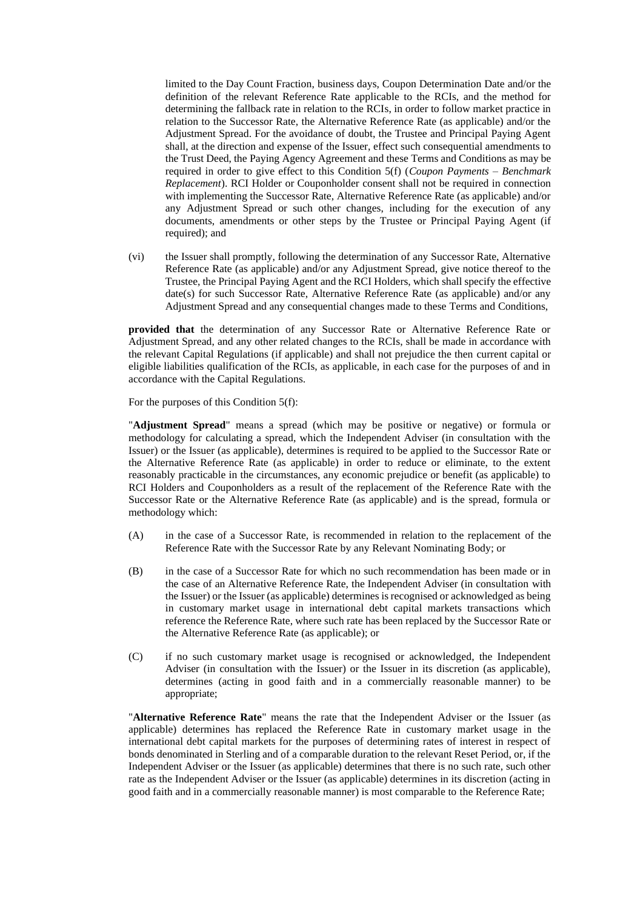limited to the Day Count Fraction, business days, Coupon Determination Date and/or the definition of the relevant Reference Rate applicable to the RCIs, and the method for determining the fallback rate in relation to the RCIs, in order to follow market practice in relation to the Successor Rate, the Alternative Reference Rate (as applicable) and/or the Adjustment Spread. For the avoidance of doubt, the Trustee and Principal Paying Agent shall, at the direction and expense of the Issuer, effect such consequential amendments to the Trust Deed, the Paying Agency Agreement and these Terms and Conditions as may be required in order to give effect to this Condition 5(f) (*Coupon Payments – Benchmark Replacement*). RCI Holder or Couponholder consent shall not be required in connection with implementing the Successor Rate, Alternative Reference Rate (as applicable) and/or any Adjustment Spread or such other changes, including for the execution of any documents, amendments or other steps by the Trustee or Principal Paying Agent (if required); and

(vi) the Issuer shall promptly, following the determination of any Successor Rate, Alternative Reference Rate (as applicable) and/or any Adjustment Spread, give notice thereof to the Trustee, the Principal Paying Agent and the RCI Holders, which shall specify the effective date(s) for such Successor Rate, Alternative Reference Rate (as applicable) and/or any Adjustment Spread and any consequential changes made to these Terms and Conditions,

**provided that** the determination of any Successor Rate or Alternative Reference Rate or Adjustment Spread, and any other related changes to the RCIs, shall be made in accordance with the relevant Capital Regulations (if applicable) and shall not prejudice the then current capital or eligible liabilities qualification of the RCIs, as applicable, in each case for the purposes of and in accordance with the Capital Regulations.

For the purposes of this Condition 5(f):

"**Adjustment Spread**" means a spread (which may be positive or negative) or formula or methodology for calculating a spread, which the Independent Adviser (in consultation with the Issuer) or the Issuer (as applicable), determines is required to be applied to the Successor Rate or the Alternative Reference Rate (as applicable) in order to reduce or eliminate, to the extent reasonably practicable in the circumstances, any economic prejudice or benefit (as applicable) to RCI Holders and Couponholders as a result of the replacement of the Reference Rate with the Successor Rate or the Alternative Reference Rate (as applicable) and is the spread, formula or methodology which:

- (A) in the case of a Successor Rate, is recommended in relation to the replacement of the Reference Rate with the Successor Rate by any Relevant Nominating Body; or
- (B) in the case of a Successor Rate for which no such recommendation has been made or in the case of an Alternative Reference Rate, the Independent Adviser (in consultation with the Issuer) or the Issuer (as applicable) determines is recognised or acknowledged as being in customary market usage in international debt capital markets transactions which reference the Reference Rate, where such rate has been replaced by the Successor Rate or the Alternative Reference Rate (as applicable); or
- (C) if no such customary market usage is recognised or acknowledged, the Independent Adviser (in consultation with the Issuer) or the Issuer in its discretion (as applicable), determines (acting in good faith and in a commercially reasonable manner) to be appropriate;

"**Alternative Reference Rate**" means the rate that the Independent Adviser or the Issuer (as applicable) determines has replaced the Reference Rate in customary market usage in the international debt capital markets for the purposes of determining rates of interest in respect of bonds denominated in Sterling and of a comparable duration to the relevant Reset Period, or, if the Independent Adviser or the Issuer (as applicable) determines that there is no such rate, such other rate as the Independent Adviser or the Issuer (as applicable) determines in its discretion (acting in good faith and in a commercially reasonable manner) is most comparable to the Reference Rate;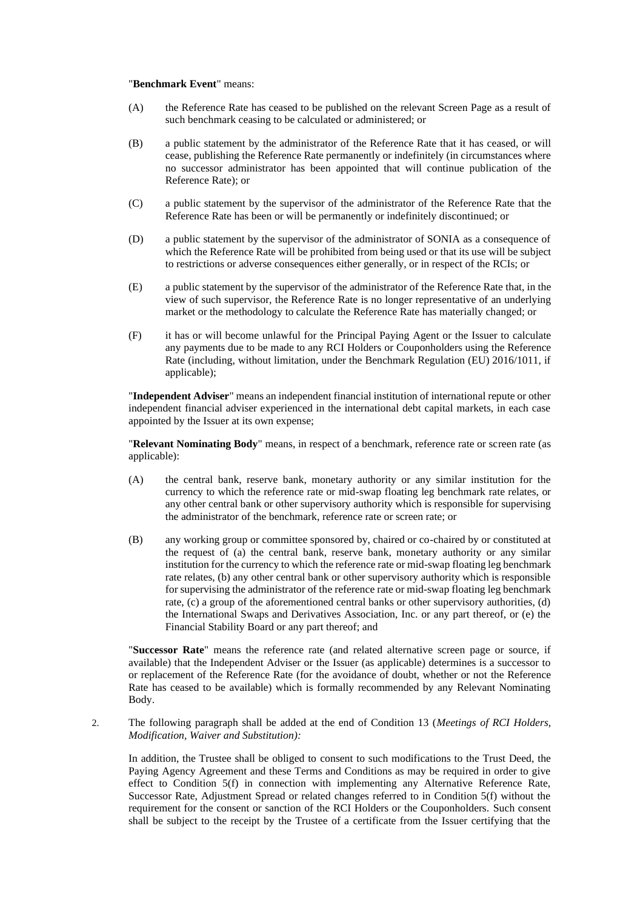#### "**Benchmark Event**" means:

- (A) the Reference Rate has ceased to be published on the relevant Screen Page as a result of such benchmark ceasing to be calculated or administered; or
- (B) a public statement by the administrator of the Reference Rate that it has ceased, or will cease, publishing the Reference Rate permanently or indefinitely (in circumstances where no successor administrator has been appointed that will continue publication of the Reference Rate); or
- (C) a public statement by the supervisor of the administrator of the Reference Rate that the Reference Rate has been or will be permanently or indefinitely discontinued; or
- (D) a public statement by the supervisor of the administrator of SONIA as a consequence of which the Reference Rate will be prohibited from being used or that its use will be subject to restrictions or adverse consequences either generally, or in respect of the RCIs; or
- (E) a public statement by the supervisor of the administrator of the Reference Rate that, in the view of such supervisor, the Reference Rate is no longer representative of an underlying market or the methodology to calculate the Reference Rate has materially changed; or
- (F) it has or will become unlawful for the Principal Paying Agent or the Issuer to calculate any payments due to be made to any RCI Holders or Couponholders using the Reference Rate (including, without limitation, under the Benchmark Regulation (EU) 2016/1011, if applicable);

"**Independent Adviser**" means an independent financial institution of international repute or other independent financial adviser experienced in the international debt capital markets, in each case appointed by the Issuer at its own expense;

"**Relevant Nominating Body**" means, in respect of a benchmark, reference rate or screen rate (as applicable):

- (A) the central bank, reserve bank, monetary authority or any similar institution for the currency to which the reference rate or mid-swap floating leg benchmark rate relates, or any other central bank or other supervisory authority which is responsible for supervising the administrator of the benchmark, reference rate or screen rate; or
- (B) any working group or committee sponsored by, chaired or co-chaired by or constituted at the request of (a) the central bank, reserve bank, monetary authority or any similar institution for the currency to which the reference rate or mid-swap floating leg benchmark rate relates, (b) any other central bank or other supervisory authority which is responsible for supervising the administrator of the reference rate or mid-swap floating leg benchmark rate, (c) a group of the aforementioned central banks or other supervisory authorities, (d) the International Swaps and Derivatives Association, Inc. or any part thereof, or (e) the Financial Stability Board or any part thereof; and

"**Successor Rate**" means the reference rate (and related alternative screen page or source, if available) that the Independent Adviser or the Issuer (as applicable) determines is a successor to or replacement of the Reference Rate (for the avoidance of doubt, whether or not the Reference Rate has ceased to be available) which is formally recommended by any Relevant Nominating Body.

2. The following paragraph shall be added at the end of Condition 13 (*Meetings of RCI Holders, Modification, Waiver and Substitution):*

In addition, the Trustee shall be obliged to consent to such modifications to the Trust Deed, the Paying Agency Agreement and these Terms and Conditions as may be required in order to give effect to Condition 5(f) in connection with implementing any Alternative Reference Rate, Successor Rate, Adjustment Spread or related changes referred to in Condition 5(f) without the requirement for the consent or sanction of the RCI Holders or the Couponholders. Such consent shall be subject to the receipt by the Trustee of a certificate from the Issuer certifying that the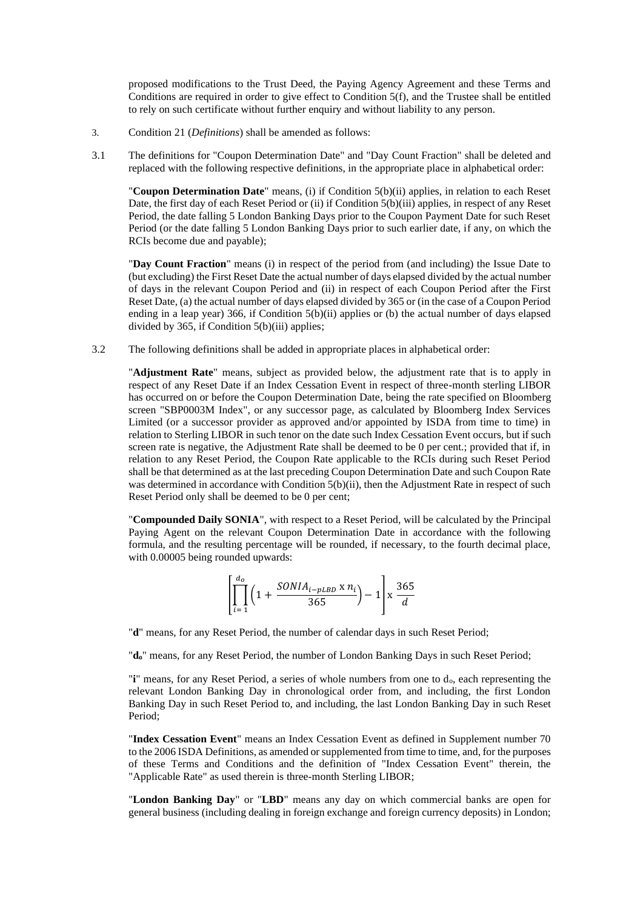proposed modifications to the Trust Deed, the Paying Agency Agreement and these Terms and Conditions are required in order to give effect to Condition 5(f), and the Trustee shall be entitled to rely on such certificate without further enquiry and without liability to any person.

- 3. Condition 21 (*Definitions*) shall be amended as follows:
- 3.1 The definitions for "Coupon Determination Date" and "Day Count Fraction" shall be deleted and replaced with the following respective definitions, in the appropriate place in alphabetical order:

"**Coupon Determination Date**" means, (i) if Condition 5(b)(ii) applies, in relation to each Reset Date, the first day of each Reset Period or (ii) if Condition 5(b)(iii) applies, in respect of any Reset Period, the date falling 5 London Banking Days prior to the Coupon Payment Date for such Reset Period (or the date falling 5 London Banking Days prior to such earlier date, if any, on which the RCIs become due and payable);

"**Day Count Fraction**" means (i) in respect of the period from (and including) the Issue Date to (but excluding) the First Reset Date the actual number of days elapsed divided by the actual number of days in the relevant Coupon Period and (ii) in respect of each Coupon Period after the First Reset Date, (a) the actual number of days elapsed divided by 365 or (in the case of a Coupon Period ending in a leap year) 366, if Condition 5(b)(ii) applies or (b) the actual number of days elapsed divided by 365, if Condition 5(b)(iii) applies;

3.2 The following definitions shall be added in appropriate places in alphabetical order:

"**Adjustment Rate**" means, subject as provided below, the adjustment rate that is to apply in respect of any Reset Date if an Index Cessation Event in respect of three-month sterling LIBOR has occurred on or before the Coupon Determination Date, being the rate specified on Bloomberg screen "SBP0003M Index", or any successor page, as calculated by Bloomberg Index Services Limited (or a successor provider as approved and/or appointed by ISDA from time to time) in relation to Sterling LIBOR in such tenor on the date such Index Cessation Event occurs, but if such screen rate is negative, the Adjustment Rate shall be deemed to be 0 per cent.; provided that if, in relation to any Reset Period, the Coupon Rate applicable to the RCIs during such Reset Period shall be that determined as at the last preceding Coupon Determination Date and such Coupon Rate was determined in accordance with Condition 5(b)(ii), then the Adjustment Rate in respect of such Reset Period only shall be deemed to be 0 per cent;

"**Compounded Daily SONIA**", with respect to a Reset Period, will be calculated by the Principal Paying Agent on the relevant Coupon Determination Date in accordance with the following formula, and the resulting percentage will be rounded, if necessary, to the fourth decimal place, with 0.00005 being rounded upwards:

$$
\left[\prod_{i=1}^{d_o} \left(1 + \frac{SONIA_{i-pLBD} \times n_i}{365}\right) - 1\right] \times \frac{365}{d}
$$

"**d**" means, for any Reset Period, the number of calendar days in such Reset Period;

"**do**" means, for any Reset Period, the number of London Banking Days in such Reset Period;

"**i**" means, for any Reset Period, a series of whole numbers from one to do, each representing the relevant London Banking Day in chronological order from, and including, the first London Banking Day in such Reset Period to, and including, the last London Banking Day in such Reset Period;

"**Index Cessation Event**" means an Index Cessation Event as defined in Supplement number 70 to the 2006 ISDA Definitions, as amended or supplemented from time to time, and, for the purposes of these Terms and Conditions and the definition of "Index Cessation Event" therein, the "Applicable Rate" as used therein is three-month Sterling LIBOR;

"**London Banking Day**" or "**LBD**" means any day on which commercial banks are open for general business (including dealing in foreign exchange and foreign currency deposits) in London;